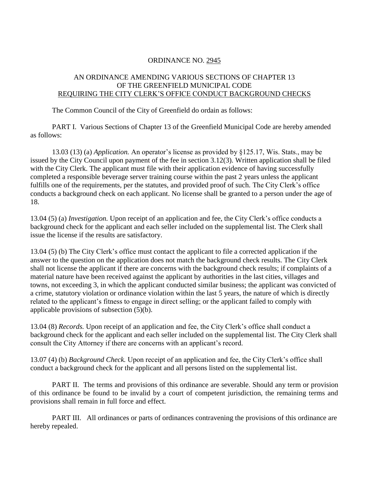## ORDINANCE NO. 2945

## AN ORDINANCE AMENDING VARIOUS SECTIONS OF CHAPTER 13 OF THE GREENFIELD MUNICIPAL CODE REQUIRING THE CITY CLERK'S OFFICE CONDUCT BACKGROUND CHECKS

The Common Council of the City of Greenfield do ordain as follows:

PART I. Various Sections of Chapter 13 of the Greenfield Municipal Code are hereby amended as follows:

13.03 (13) (a) *Application.* An operator's license as provided by §125.17, Wis. Stats., may be issued by the City Council upon payment of the fee in section 3.12(3). Written application shall be filed with the City Clerk. The applicant must file with their application evidence of having successfully completed a responsible beverage server training course within the past 2 years unless the applicant fulfills one of the requirements, per the statutes, and provided proof of such. The City Clerk's office conducts a background check on each applicant. No license shall be granted to a person under the age of 18.

13.04 (5) (a) *Investigation.* Upon receipt of an application and fee, the City Clerk's office conducts a background check for the applicant and each seller included on the supplemental list. The Clerk shall issue the license if the results are satisfactory.

13.04 (5) (b) The City Clerk's office must contact the applicant to file a corrected application if the answer to the question on the application does not match the background check results. The City Clerk shall not license the applicant if there are concerns with the background check results; if complaints of a material nature have been received against the applicant by authorities in the last cities, villages and towns, not exceeding 3, in which the applicant conducted similar business; the applicant was convicted of a crime, statutory violation or ordinance violation within the last 5 years, the nature of which is directly related to the applicant's fitness to engage in direct selling; or the applicant failed to comply with applicable provisions of subsection (5)(b).

13.04 (8) *Records.* Upon receipt of an application and fee, the City Clerk's office shall conduct a background check for the applicant and each seller included on the supplemental list. The City Clerk shall consult the City Attorney if there are concerns with an applicant's record.

13.07 (4) (b) *Background Check.* Upon receipt of an application and fee, the City Clerk's office shall conduct a background check for the applicant and all persons listed on the supplemental list.

PART II. The terms and provisions of this ordinance are severable. Should any term or provision of this ordinance be found to be invalid by a court of competent jurisdiction, the remaining terms and provisions shall remain in full force and effect.

PART III. All ordinances or parts of ordinances contravening the provisions of this ordinance are hereby repealed.